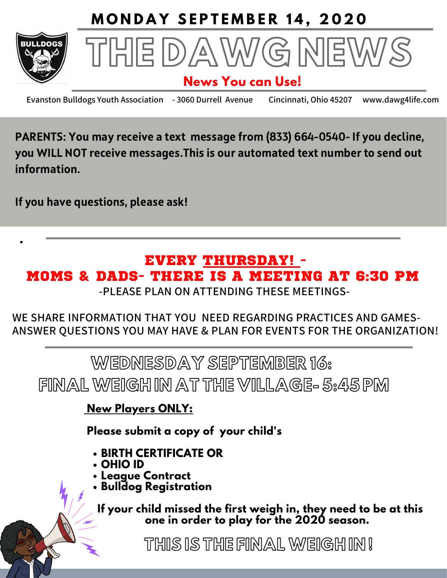



## **News You can Use!**

**Evanston Bulldogs Youth Association - 3060 Durrell Avenue Cincinnati, Ohio 45207 www.dawg4life.com**

PARENTS: You may receive a text message from (833) 664-0540- If you decline, you WILL NOT receive messages.This is our automated text number to send out information.

If you have questions, please ask!

# EVERY THURSDAY! - MOMS & DADS- THERE IS A MEETING AT 6:30 PM

**-PLEASE PLAN ON ATTENDING THESE MEETINGS-**

**WE SHARE INFORMATION THAT YOU NEED REGARDING PRACTICES AND GAMES- ANSWER QUESTIONS YOU MAY HAVE & PLAN FOR EVENTS FOR THE ORGANIZATION!**

WEDNESDAY SEPTEMBER 16: FINALWEIGH IN AT THE VILLAGE- 5:45 PM

**New Players ONLY:**

**Please submit a copy of your child's**

- **BIRTH CERTIFICATE OR**
- **OHIO ID**
- **League Contract**
- **Bulldog Registration**

**If your child missed the first weigh in, they need to be at this one in order to play for the 2020 season.**